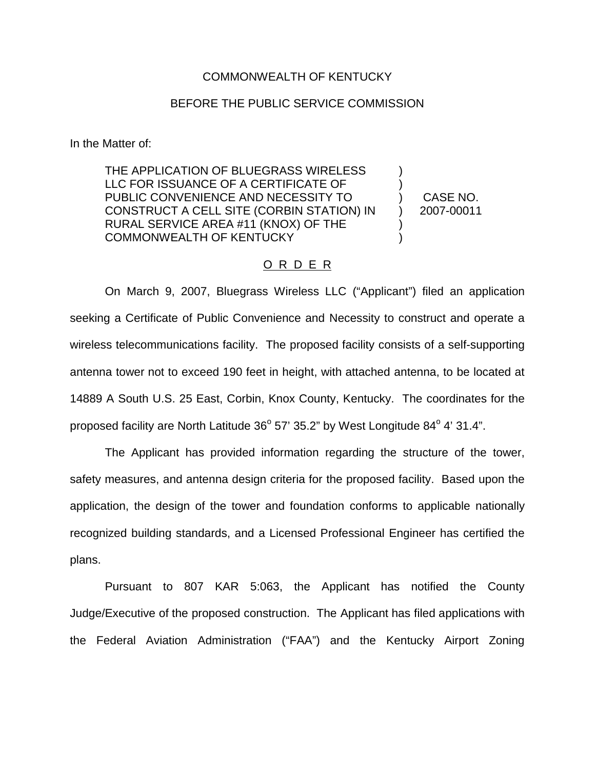## COMMONWEALTH OF KENTUCKY

## BEFORE THE PUBLIC SERVICE COMMISSION

In the Matter of:

THE APPLICATION OF BLUEGRASS WIRELESS LLC FOR ISSUANCE OF A CERTIFICATE OF PUBLIC CONVENIENCE AND NECESSITY TO CONSTRUCT A CELL SITE (CORBIN STATION) IN RURAL SERVICE AREA #11 (KNOX) OF THE COMMONWEALTH OF KENTUCKY ) ) ) ) ) )

CASE NO. 2007-00011

## O R D E R

On March 9, 2007, Bluegrass Wireless LLC ("Applicant") filed an application seeking a Certificate of Public Convenience and Necessity to construct and operate a wireless telecommunications facility. The proposed facility consists of a self-supporting antenna tower not to exceed 190 feet in height, with attached antenna, to be located at 14889 A South U.S. 25 East, Corbin, Knox County, Kentucky. The coordinates for the proposed facility are North Latitude  $36^{\circ}$  57' 35.2" by West Longitude  $84^{\circ}$  4' 31.4".

The Applicant has provided information regarding the structure of the tower, safety measures, and antenna design criteria for the proposed facility. Based upon the application, the design of the tower and foundation conforms to applicable nationally recognized building standards, and a Licensed Professional Engineer has certified the plans.

Pursuant to 807 KAR 5:063, the Applicant has notified the County Judge/Executive of the proposed construction. The Applicant has filed applications with the Federal Aviation Administration ("FAA") and the Kentucky Airport Zoning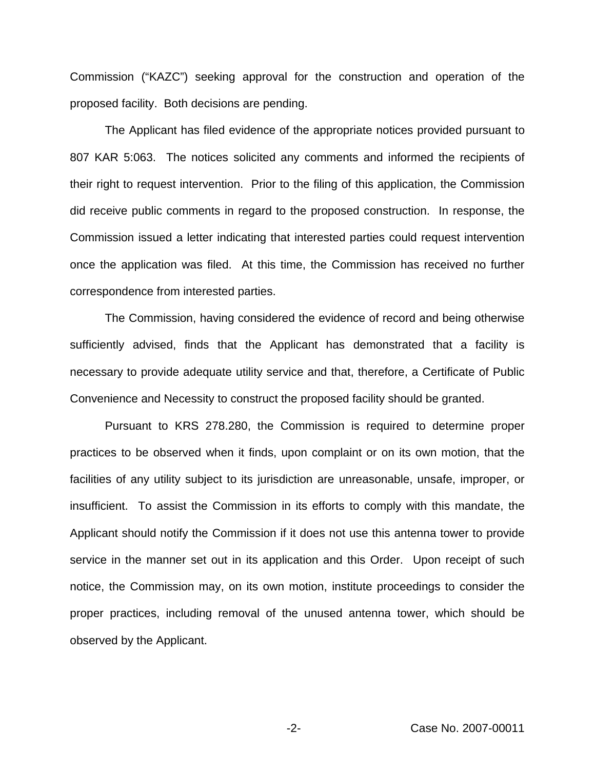Commission ("KAZC") seeking approval for the construction and operation of the proposed facility. Both decisions are pending.

The Applicant has filed evidence of the appropriate notices provided pursuant to 807 KAR 5:063. The notices solicited any comments and informed the recipients of their right to request intervention. Prior to the filing of this application, the Commission did receive public comments in regard to the proposed construction. In response, the Commission issued a letter indicating that interested parties could request intervention once the application was filed. At this time, the Commission has received no further correspondence from interested parties.

The Commission, having considered the evidence of record and being otherwise sufficiently advised, finds that the Applicant has demonstrated that a facility is necessary to provide adequate utility service and that, therefore, a Certificate of Public Convenience and Necessity to construct the proposed facility should be granted.

Pursuant to KRS 278.280, the Commission is required to determine proper practices to be observed when it finds, upon complaint or on its own motion, that the facilities of any utility subject to its jurisdiction are unreasonable, unsafe, improper, or insufficient. To assist the Commission in its efforts to comply with this mandate, the Applicant should notify the Commission if it does not use this antenna tower to provide service in the manner set out in its application and this Order. Upon receipt of such notice, the Commission may, on its own motion, institute proceedings to consider the proper practices, including removal of the unused antenna tower, which should be observed by the Applicant.